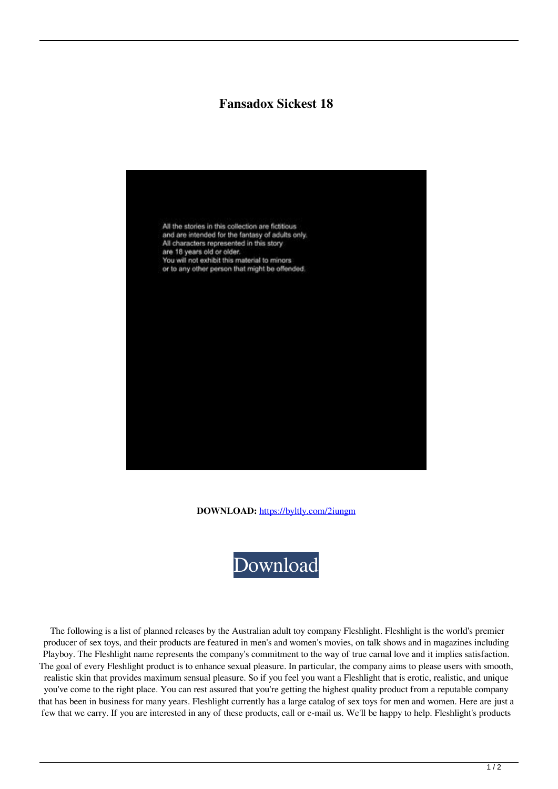## **Fansadox Sickest 18**



**DOWNLOAD:** <https://byltly.com/2iungm>



 The following is a list of planned releases by the Australian adult toy company Fleshlight. Fleshlight is the world's premier producer of sex toys, and their products are featured in men's and women's movies, on talk shows and in magazines including Playboy. The Fleshlight name represents the company's commitment to the way of true carnal love and it implies satisfaction. The goal of every Fleshlight product is to enhance sexual pleasure. In particular, the company aims to please users with smooth, realistic skin that provides maximum sensual pleasure. So if you feel you want a Fleshlight that is erotic, realistic, and unique you've come to the right place. You can rest assured that you're getting the highest quality product from a reputable company that has been in business for many years. Fleshlight currently has a large catalog of sex toys for men and women. Here are just a few that we carry. If you are interested in any of these products, call or e-mail us. We'll be happy to help. Fleshlight's products